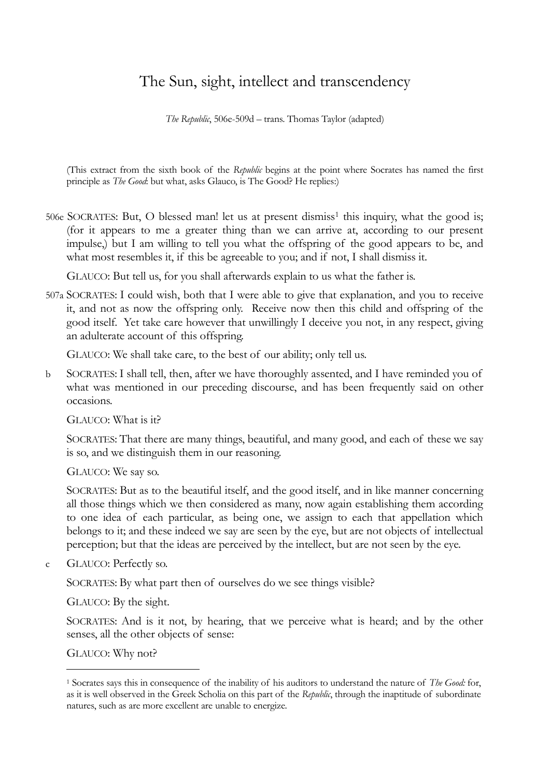## The Sun, sight, intellect and transcendency

*The Republic*, 506e-509d – trans. Thomas Taylor (adapted)

(This extract from the sixth book of the *Republic* begins at the point where Socrates has named the first principle as *The Good*: but what, asks Glauco, is The Good? He replies:)

506e SOCRATES: But, O blessed man! let us at present dismiss<sup>1</sup> this inquiry, what the good is; (for it appears to me a greater thing than we can arrive at, according to our present impulse,) but I am willing to tell you what the offspring of the good appears to be, and what most resembles it, if this be agreeable to you; and if not, I shall dismiss it.

GLAUCO: But tell us, for you shall afterwards explain to us what the father is.

507a SOCRATES: I could wish, both that I were able to give that explanation, and you to receive it, and not as now the offspring only. Receive now then this child and offspring of the good itself. Yet take care however that unwillingly I deceive you not, in any respect, giving an adulterate account of this offspring.

GLAUCO: We shall take care, to the best of our ability; only tell us.

b SOCRATES: I shall tell, then, after we have thoroughly assented, and I have reminded you of what was mentioned in our preceding discourse, and has been frequently said on other occasions.

GLAUCO: What is it?

SOCRATES: That there are many things, beautiful, and many good, and each of these we say is so, and we distinguish them in our reasoning.

GLAUCO: We say so.

SOCRATES: But as to the beautiful itself, and the good itself, and in like manner concerning all those things which we then considered as many, now again establishing them according to one idea of each particular, as being one, we assign to each that appellation which belongs to it; and these indeed we say are seen by the eye, but are not objects of intellectual perception; but that the ideas are perceived by the intellect, but are not seen by the eye.

c GLAUCO: Perfectly so.

SOCRATES: By what part then of ourselves do we see things visible?

GLAUCO: By the sight.

SOCRATES: And is it not, by hearing, that we perceive what is heard; and by the other senses, all the other objects of sense:

GLAUCO: Why not?

-

<sup>1</sup> Socrates says this in consequence of the inability of his auditors to understand the nature of *The Good:* for, as it is well observed in the Greek Scholia on this part of the *Republic*, through the inaptitude of subordinate natures, such as are more excellent are unable to energize.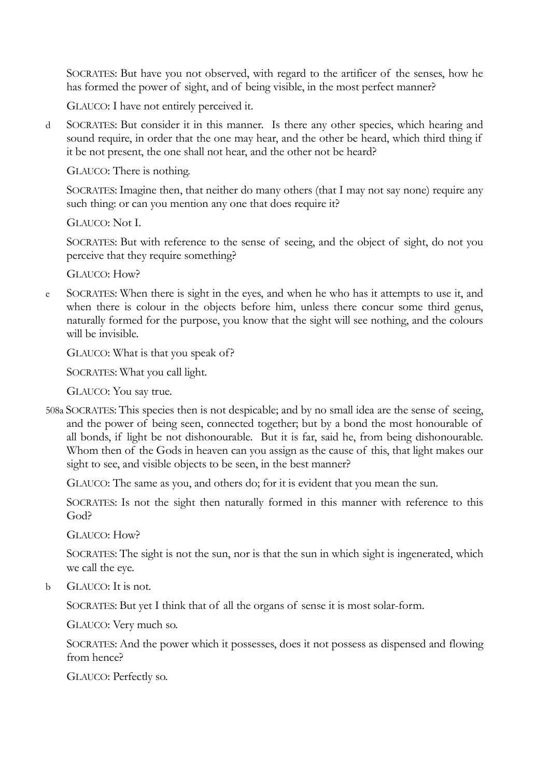SOCRATES: But have you not observed, with regard to the artificer of the senses, how he has formed the power of sight, and of being visible, in the most perfect manner?

GLAUCO: I have not entirely perceived it.

d SOCRATES: But consider it in this manner. Is there any other species, which hearing and sound require, in order that the one may hear, and the other be heard, which third thing if it be not present, the one shall not hear, and the other not be heard?

GLAUCO: There is nothing.

SOCRATES: Imagine then, that neither do many others (that I may not say none) require any such thing: or can you mention any one that does require it?

GLAUCO: Not I.

SOCRATES: But with reference to the sense of seeing, and the object of sight, do not you perceive that they require something?

GLAUCO: How?

e SOCRATES: When there is sight in the eyes, and when he who has it attempts to use it, and when there is colour in the objects before him, unless there concur some third genus, naturally formed for the purpose, you know that the sight will see nothing, and the colours will be invisible.

GLAUCO: What is that you speak of?

SOCRATES: What you call light.

GLAUCO: You say true.

508a SOCRATES: This species then is not despicable; and by no small idea are the sense of seeing, and the power of being seen, connected together; but by a bond the most honourable of all bonds, if light be not dishonourable. But it is far, said he, from being dishonourable. Whom then of the Gods in heaven can you assign as the cause of this, that light makes our sight to see, and visible objects to be seen, in the best manner?

GLAUCO: The same as you, and others do; for it is evident that you mean the sun.

SOCRATES: Is not the sight then naturally formed in this manner with reference to this God?

GLAUCO: How?

SOCRATES: The sight is not the sun, nor is that the sun in which sight is ingenerated, which we call the eye.

b GLAUCO: It is not.

SOCRATES: But yet I think that of all the organs of sense it is most solar-form.

GLAUCO: Very much so.

SOCRATES: And the power which it possesses, does it not possess as dispensed and flowing from hence?

GLAUCO: Perfectly so.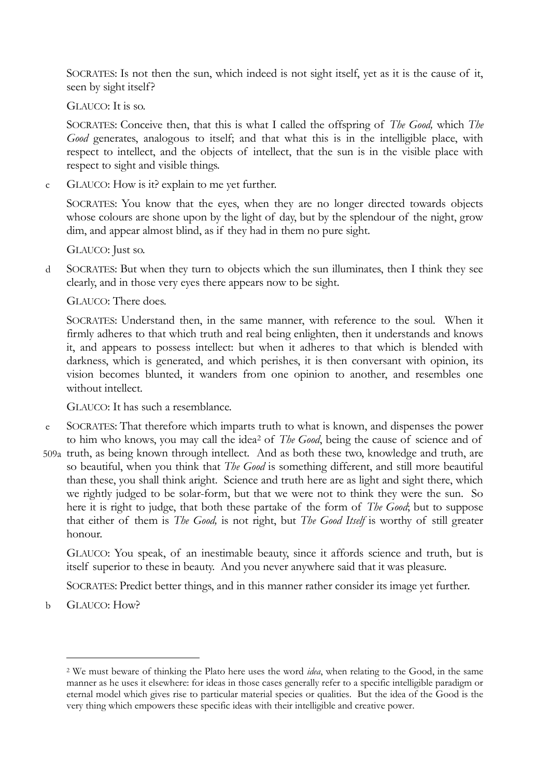SOCRATES: Is not then the sun, which indeed is not sight itself, yet as it is the cause of it, seen by sight itself?

GLAUCO: It is so.

SOCRATES: Conceive then, that this is what I called the offspring of *The Good,* which *The Good* generates, analogous to itself; and that what this is in the intelligible place, with respect to intellect, and the objects of intellect, that the sun is in the visible place with respect to sight and visible things.

c GLAUCO: How is it? explain to me yet further.

SOCRATES: You know that the eyes, when they are no longer directed towards objects whose colours are shone upon by the light of day, but by the splendour of the night, grow dim, and appear almost blind, as if they had in them no pure sight.

GLAUCO: Just so.

d SOCRATES: But when they turn to objects which the sun illuminates, then I think they see clearly, and in those very eyes there appears now to be sight.

GLAUCO: There does.

SOCRATES: Understand then, in the same manner, with reference to the soul. When it firmly adheres to that which truth and real being enlighten, then it understands and knows it, and appears to possess intellect: but when it adheres to that which is blended with darkness, which is generated, and which perishes, it is then conversant with opinion, its vision becomes blunted, it wanders from one opinion to another, and resembles one without intellect.

GLAUCO: It has such a resemblance.

- e SOCRATES: That therefore which imparts truth to what is known, and dispenses the power to him who knows, you may call the idea<sup>2</sup> of *The Good*, being the cause of science and of
- 509a truth, as being known through intellect. And as both these two, knowledge and truth, are so beautiful, when you think that *The Good* is something different, and still more beautiful than these, you shall think aright. Science and truth here are as light and sight there, which we rightly judged to be solar-form, but that we were not to think they were the sun. So here it is right to judge, that both these partake of the form of *The Good*; but to suppose that either of them is *The Good,* is not right, but *The Good Itself* is worthy of still greater honour.

GLAUCO: You speak, of an inestimable beauty, since it affords science and truth, but is itself superior to these in beauty. And you never anywhere said that it was pleasure.

SOCRATES: Predict better things, and in this manner rather consider its image yet further.

b GLAUCO: How?

-

<sup>2</sup> We must beware of thinking the Plato here uses the word *idea*, when relating to the Good, in the same manner as he uses it elsewhere: for ideas in those cases generally refer to a specific intelligible paradigm or eternal model which gives rise to particular material species or qualities. But the idea of the Good is the very thing which empowers these specific ideas with their intelligible and creative power.